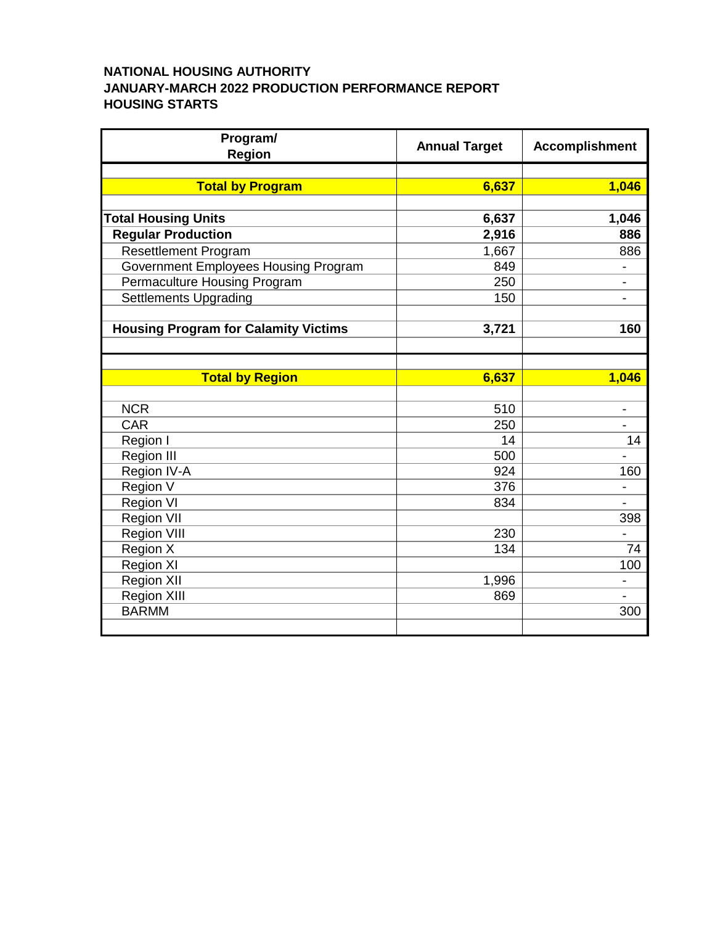## **NATIONAL HOUSING AUTHORITY JANUARY-MARCH 2022 PRODUCTION PERFORMANCE REPORT HOUSING STARTS**

| Program/<br><b>Region</b>                   | <b>Annual Target</b> | <b>Accomplishment</b>        |
|---------------------------------------------|----------------------|------------------------------|
|                                             |                      |                              |
| <b>Total by Program</b>                     | 6,637                | 1,046                        |
|                                             |                      |                              |
| <b>Total Housing Units</b>                  | 6,637                | 1,046                        |
| <b>Regular Production</b>                   | 2,916                | 886                          |
| <b>Resettlement Program</b>                 | 1,667                | 886                          |
| Government Employees Housing Program        | 849                  | $\qquad \qquad \blacksquare$ |
| Permaculture Housing Program                | 250                  |                              |
| <b>Settlements Upgrading</b>                | 150                  |                              |
|                                             |                      |                              |
| <b>Housing Program for Calamity Victims</b> | 3,721                | 160                          |
|                                             |                      |                              |
|                                             |                      |                              |
| <b>Total by Region</b>                      | 6,637                | 1,046                        |
|                                             |                      |                              |
| <b>NCR</b><br><b>CAR</b>                    | 510<br>250           | -                            |
|                                             | 14                   | 14                           |
| Region I                                    | 500                  |                              |
| <b>Region III</b>                           | 924                  |                              |
| Region IV-A                                 | 376                  | 160                          |
| Region V<br><b>Region VI</b>                | 834                  |                              |
| <b>Region VII</b>                           |                      | 398                          |
| <b>Region VIII</b>                          | 230                  |                              |
| Region X                                    | 134                  | 74                           |
| Region XI                                   |                      | 100                          |
| <b>Region XII</b>                           | 1,996                | $\overline{\phantom{0}}$     |
| <b>Region XIII</b>                          | 869                  |                              |
| <b>BARMM</b>                                |                      | 300                          |
|                                             |                      |                              |